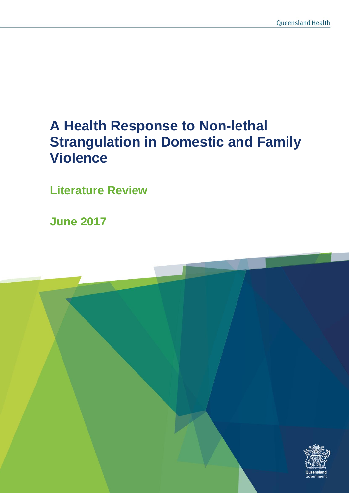# **A Health Response to Non-lethal Strangulation in Domestic and Family Violence**

**Literature Review** 

**June 2017**

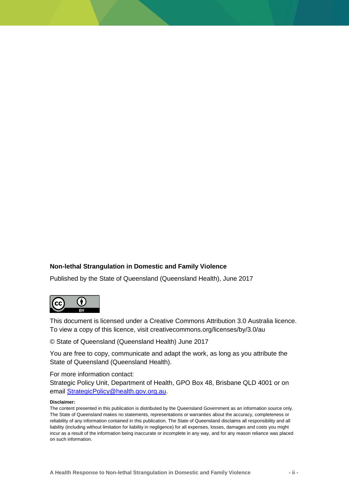#### **Non-lethal Strangulation in Domestic and Family Violence**

Published by the State of Queensland (Queensland Health), June 2017



This document is licensed under a Creative Commons Attribution 3.0 Australia licence. To view a copy of this licence, visit creativecommons.org/licenses/by/3.0/au

© State of Queensland (Queensland Health) June 2017

You are free to copy, communicate and adapt the work, as long as you attribute the State of Queensland (Queensland Health).

For more information contact:

Strategic Policy Unit, Department of Health, GPO Box 48, Brisbane QLD 4001 or on email [StrategicPolicy@health.gov.org.au.](mailto:StrategicPolicy@health.gov.org.au)

#### **Disclaimer:**

The content presented in this publication is distributed by the Queensland Government as an information source only. The State of Queensland makes no statements, representations or warranties about the accuracy, completeness or reliability of any information contained in this publication. The State of Queensland disclaims all responsibility and all liability (including without limitation for liability in negligence) for all expenses, losses, damages and costs you might incur as a result of the information being inaccurate or incomplete in any way, and for any reason reliance was placed on such information.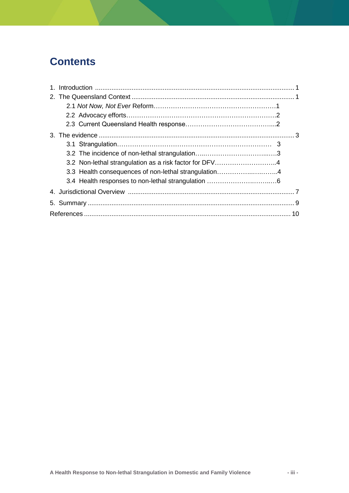### **Contents**

| 3.3 Health consequences of non-lethal strangulation4 |  |
|------------------------------------------------------|--|
|                                                      |  |
|                                                      |  |
|                                                      |  |
|                                                      |  |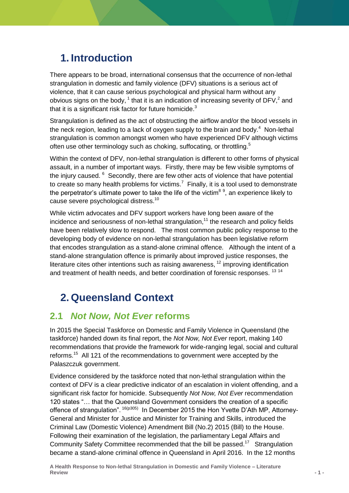## **1. Introduction**

There appears to be broad, international consensus that the occurrence of non-lethal strangulation in domestic and family violence (DFV) situations is a serious act of violence, that it can cause serious psychological and physical harm without any obvious signs on the body,  $1$  that it is an indication of increasing severity of DFV, $2$  and that it is a significant risk factor for future homicide. $3$ 

Strangulation is defined as the act of obstructing the airflow and/or the blood vessels in the neck region, leading to a lack of oxygen supply to the brain and body. $4$  Non-lethal strangulation is common amongst women who have experienced DFV although victims often use other terminology such as choking, suffocating, or throttling.<sup>5</sup>

Within the context of DFV, non-lethal strangulation is different to other forms of physical assault, in a number of important ways. Firstly, there may be few visible symptoms of the injury caused. <sup>6</sup> Secondly, there are few other acts of violence that have potential to create so many health problems for victims.<sup>7</sup> Finally, it is a tool used to demonstrate the perpetrator's ultimate power to take the life of the victim<sup>89</sup>, an experience likely to cause severe psychological distress.<sup>10</sup>

While victim advocates and DFV support workers have long been aware of the incidence and seriousness of non-lethal strangulation,<sup>11</sup> the research and policy fields have been relatively slow to respond. The most common public policy response to the developing body of evidence on non-lethal strangulation has been legislative reform that encodes strangulation as a stand-alone criminal offence. Although the intent of a stand-alone strangulation offence is primarily about improved justice responses, the literature cites other intentions such as raising awareness,  $12$  improving identification and treatment of health needs, and better coordination of forensic responses. <sup>13 14</sup>

## **2. Queensland Context**

### **2.1** *Not Now, Not Ever* **reforms**

In 2015 the Special Taskforce on Domestic and Family Violence in Queensland (the taskforce) handed down its final report, the *Not Now, Not Ever* report, making 140 recommendations that provide the framework for wide-ranging legal, social and cultural reforms.<sup>15</sup> All 121 of the recommendations to government were accepted by the Palaszczuk government.

Evidence considered by the taskforce noted that non-lethal strangulation within the context of DFV is a clear predictive indicator of an escalation in violent offending, and a significant risk factor for homicide. Subsequently *Not Now, Not Ever* recommendation 120 states "... that the Queensland Government considers the creation of a specific offence of strangulation". <sup>16(p305)</sup> In December 2015 the Hon Yvette D'Ath MP, Attorney-General and Minister for Justice and Minister for Training and Skills, introduced the Criminal Law (Domestic Violence) Amendment Bill (No.2) 2015 (Bill) to the House. Following their examination of the legislation, the parliamentary Legal Affairs and Community Safety Committee recommended that the bill be passed.<sup>17</sup> Strangulation became a stand-alone criminal offence in Queensland in April 2016. In the 12 months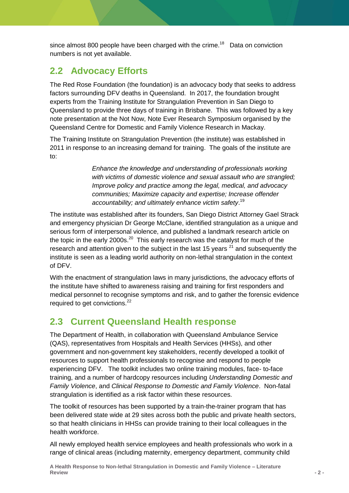since almost 800 people have been charged with the crime.<sup>18</sup> Data on conviction numbers is not yet available.

### **2.2 Advocacy Efforts**

The Red Rose Foundation (the foundation) is an advocacy body that seeks to address factors surrounding DFV deaths in Queensland. In 2017, the foundation brought experts from the Training Institute for Strangulation Prevention in San Diego to Queensland to provide three days of training in Brisbane. This was followed by a key note presentation at the Not Now, Note Ever Research Symposium organised by the Queensland Centre for Domestic and Family Violence Research in Mackay.

The Training Institute on Strangulation Prevention (the institute) was established in 2011 in response to an increasing demand for training. The goals of the institute are to:

> *Enhance the knowledge and understanding of professionals working with victims of domestic violence and sexual assault who are strangled; Improve policy and practice among the legal, medical, and advocacy communities; Maximize capacity and expertise; Increase offender accountability; and ultimately enhance victim safety*. 19

The institute was established after its founders, San Diego District Attorney Gael Strack and emergency physician Dr George McClane, identified strangulation as a unique and serious form of interpersonal violence, and published a landmark research article on the topic in the early 2000s.<sup>20</sup> This early research was the catalyst for much of the research and attention given to the subject in the last 15 years  $21$  and subsequently the institute is seen as a leading world authority on non-lethal strangulation in the context of DFV.

With the enactment of strangulation laws in many jurisdictions, the advocacy efforts of the institute have shifted to awareness raising and training for first responders and medical personnel to recognise symptoms and risk, and to gather the forensic evidence required to get convictions.<sup>22</sup>

### **2.3 Current Queensland Health response**

The Department of Health, in collaboration with Queensland Ambulance Service (QAS), representatives from Hospitals and Health Services (HHSs), and other government and non-government key stakeholders, recently developed a toolkit of resources to support health professionals to recognise and respond to people experiencing DFV. The toolkit includes two online training modules, face- to-face training, and a number of hardcopy resources including *Understanding Domestic and Family Violence*, and *Clinical Response to Domestic and Family Violence*. Non-fatal strangulation is identified as a risk factor within these resources.

The toolkit of resources has been supported by a train-the-trainer program that has been delivered state wide at 29 sites across both the public and private health sectors, so that health clinicians in HHSs can provide training to their local colleagues in the health workforce.

All newly employed health service employees and health professionals who work in a range of clinical areas (including maternity, emergency department, community child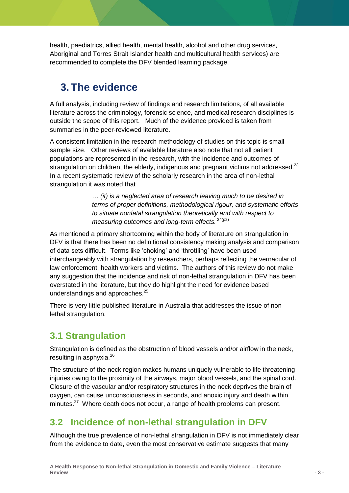health, paediatrics, allied health, mental health, alcohol and other drug services, Aboriginal and Torres Strait Islander health and multicultural health services) are recommended to complete the DFV blended learning package.

## **3. The evidence**

A full analysis, including review of findings and research limitations, of all available literature across the criminology, forensic science, and medical research disciplines is outside the scope of this report. Much of the evidence provided is taken from summaries in the peer-reviewed literature.

A consistent limitation in the research methodology of studies on this topic is small sample size. Other reviews of available literature also note that not all patient populations are represented in the research, with the incidence and outcomes of strangulation on children, the elderly, indigenous and pregnant victims not addressed. $^{23}$ In a recent systematic review of the scholarly research in the area of non-lethal strangulation it was noted that

> … *(it) is a neglected area of research leaving much to be desired in terms of proper definitions, methodological rigour, and systematic efforts to situate nonfatal strangulation theoretically and with respect to measuring outcomes and long-term effects.* <sup>24(p2)</sup>

As mentioned a primary shortcoming within the body of literature on strangulation in DFV is that there has been no definitional consistency making analysis and comparison of data sets difficult. Terms like 'choking' and 'throttling' have been used interchangeably with strangulation by researchers, perhaps reflecting the vernacular of law enforcement, health workers and victims. The authors of this review do not make any suggestion that the incidence and risk of non-lethal strangulation in DFV has been overstated in the literature, but they do highlight the need for evidence based understandings and approaches.<sup>25</sup>

There is very little published literature in Australia that addresses the issue of nonlethal strangulation.

### **3.1 Strangulation**

Strangulation is defined as the obstruction of blood vessels and/or airflow in the neck, resulting in asphyxia.<sup>26</sup>

The structure of the neck region makes humans uniquely vulnerable to life threatening injuries owing to the proximity of the airways, major blood vessels, and the spinal cord. Closure of the vascular and/or respiratory structures in the neck deprives the brain of oxygen, can cause unconsciousness in seconds, and anoxic injury and death within minutes.<sup>27</sup> Where death does not occur, a range of health problems can present.

### **3.2 Incidence of non-lethal strangulation in DFV**

Although the true prevalence of non-lethal strangulation in DFV is not immediately clear from the evidence to date, even the most conservative estimate suggests that many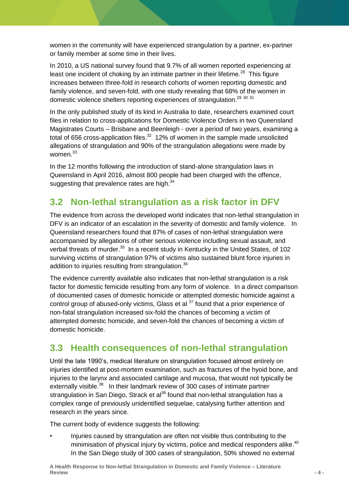women in the community will have experienced strangulation by a partner, ex-partner or family member at some time in their lives.

In 2010, a US national survey found that 9.7% of all women reported experiencing at least one incident of choking by an intimate partner in their lifetime.<sup>28</sup> This figure increases between three-fold in research cohorts of women reporting domestic and family violence, and seven-fold, with one study revealing that 68% of the women in domestic violence shelters reporting experiences of strangulation.<sup>29 30 31</sup>

In the only published study of its kind in Australia to date, researchers examined court files in relation to cross-applications for Domestic Violence Orders in two Queensland Magistrates Courts – Brisbane and Beenleigh - over a period of two years, examining a total of 656 cross-application files. $32$  12% of women in the sample made unsolicited allegations of strangulation and 90% of the strangulation allegations were made by women.<sup>33</sup>

In the 12 months following the introduction of stand-alone strangulation laws in Queensland in April 2016, almost 800 people had been charged with the offence, suggesting that prevalence rates are high.<sup>34</sup>

### **3.2 Non-lethal strangulation as a risk factor in DFV**

The evidence from across the developed world indicates that non-lethal strangulation in DFV is an indicator of an escalation in the severity of domestic and family violence. In Queensland researchers found that 87% of cases of non-lethal strangulation were accompanied by allegations of other serious violence including sexual assault, and verbal threats of murder.<sup>35</sup> In a recent study in Kentucky in the United States, of 102 surviving victims of strangulation 97% of victims also sustained blunt force injuries in addition to injuries resulting from strangulation.<sup>36</sup>

The evidence currently available also indicates that non-lethal strangulation is a risk factor for domestic femicide resulting from any form of violence. In a direct comparison of documented cases of domestic homicide or attempted domestic homicide against a control group of abused-only victims, Glass et al  $37$  found that a prior experience of non-fatal strangulation increased six-fold the chances of becoming a victim of attempted domestic homicide, and seven-fold the chances of becoming a victim of domestic homicide.

#### **3.3 Health consequences of non-lethal strangulation**

Until the late 1990's, medical literature on strangulation focused almost entirely on injuries identified at post-mortem examination, such as fractures of the hyoid bone, and injuries to the larynx and associated cartilage and mucosa, that would not typically be externally visible.<sup>38</sup> In their landmark review of 300 cases of intimate partner strangulation in San Diego, Strack et al<sup>39</sup> found that non-lethal strangulation has a complex range of previously unidentified sequelae, catalysing further attention and research in the years since.

The current body of evidence suggests the following:

• Injuries caused by strangulation are often not visible thus contributing to the minimisation of physical injury by victims, police and medical responders alike.<sup>40</sup> In the San Diego study of 300 cases of strangulation, 50% showed no external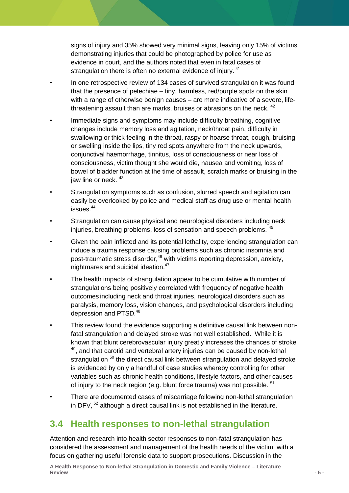signs of injury and 35% showed very minimal signs, leaving only 15% of victims demonstrating injuries that could be photographed by police for use as evidence in court, and the authors noted that even in fatal cases of strangulation there is often no external evidence of injury.<sup>41</sup>

- In one retrospective review of 134 cases of survived strangulation it was found that the presence of petechiae – tiny, harmless, red/purple spots on the skin with a range of otherwise benign causes – are more indicative of a severe, lifethreatening assault than are marks, bruises or abrasions on the neck.  $42$
- Immediate signs and symptoms may include difficulty breathing, cognitive changes include memory loss and agitation, neck/throat pain, difficulty in swallowing or thick feeling in the throat, raspy or hoarse throat, cough, bruising or swelling inside the lips, tiny red spots anywhere from the neck upwards, conjunctival haemorrhage, tinnitus, loss of consciousness or near loss of consciousness, victim thought she would die, nausea and vomiting, loss of bowel of bladder function at the time of assault, scratch marks or bruising in the jaw line or neck.  $43$
- Strangulation symptoms such as confusion, slurred speech and agitation can easily be overlooked by police and medical staff as drug use or mental health issues. 44
- Strangulation can cause physical and neurological disorders including neck injuries, breathing problems, loss of sensation and speech problems. 45
- Given the pain inflicted and its potential lethality, experiencing strangulation can induce a trauma response causing problems such as chronic insomnia and post-traumatic stress disorder, <sup>46</sup> with victims reporting depression, anxiety, nightmares and suicidal ideation.<sup>47</sup>
- The health impacts of strangulation appear to be cumulative with number of strangulations being positively correlated with frequency of negative health outcomes including neck and throat injuries, neurological disorders such as paralysis, memory loss, vision changes, and psychological disorders including depression and PTSD.<sup>48</sup>
- This review found the evidence supporting a definitive causal link between nonfatal strangulation and delayed stroke was not well established. While it is known that blunt cerebrovascular injury greatly increases the chances of stroke  $49$ , and that carotid and vertebral artery injuries can be caused by non-lethal strangulation  $50$  the direct causal link between strangulation and delayed stroke is evidenced by only a handful of case studies whereby controlling for other variables such as chronic health conditions, lifestyle factors, and other causes of injury to the neck region (e.g. blunt force trauma) was not possible. <sup>51</sup>
- There are documented cases of miscarriage following non-lethal strangulation in DFV,  $52$  although a direct causal link is not established in the literature.

#### **3.4 Health responses to non-lethal strangulation**

Attention and research into health sector responses to non-fatal strangulation has considered the assessment and management of the health needs of the victim, with a focus on gathering useful forensic data to support prosecutions. Discussion in the

**A Health Response to Non-lethal Strangulation in Domestic and Family Violence – Literature Review - 5 -**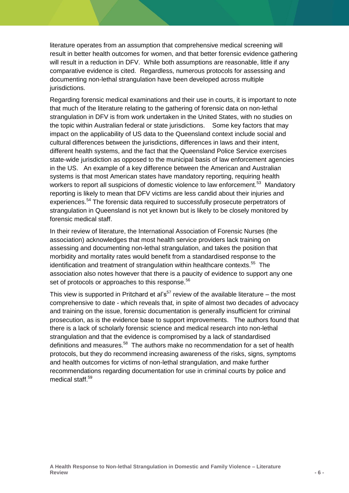literature operates from an assumption that comprehensive medical screening will result in better health outcomes for women, and that better forensic evidence gathering will result in a reduction in DFV. While both assumptions are reasonable, little if any comparative evidence is cited. Regardless, numerous protocols for assessing and documenting non-lethal strangulation have been developed across multiple jurisdictions.

Regarding forensic medical examinations and their use in courts, it is important to note that much of the literature relating to the gathering of forensic data on non-lethal strangulation in DFV is from work undertaken in the United States, with no studies on the topic within Australian federal or state jurisdictions. Some key factors that may impact on the applicability of US data to the Queensland context include social and cultural differences between the jurisdictions, differences in laws and their intent, different health systems, and the fact that the Queensland Police Service exercises state-wide jurisdiction as opposed to the municipal basis of law enforcement agencies in the US. An example of a key difference between the American and Australian systems is that most American states have mandatory reporting, requiring health workers to report all suspicions of domestic violence to law enforcement.<sup>53</sup> Mandatory reporting is likely to mean that DFV victims are less candid about their injuries and experiences.<sup>54</sup> The forensic data required to successfully prosecute perpetrators of strangulation in Queensland is not yet known but is likely to be closely monitored by forensic medical staff.

In their review of literature, the International Association of Forensic Nurses (the association) acknowledges that most health service providers lack training on assessing and documenting non-lethal strangulation, and takes the position that morbidity and mortality rates would benefit from a standardised response to the identification and treatment of strangulation within healthcare contexts.<sup>55</sup> The association also notes however that there is a paucity of evidence to support any one set of protocols or approaches to this response.<sup>56</sup>

This view is supported in Pritchard et al's<sup>57</sup> review of the available literature – the most comprehensive to date - which reveals that, in spite of almost two decades of advocacy and training on the issue, forensic documentation is generally insufficient for criminal prosecution, as is the evidence base to support improvements. The authors found that there is a lack of scholarly forensic science and medical research into non-lethal strangulation and that the evidence is compromised by a lack of standardised definitions and measures.<sup>58</sup> The authors make no recommendation for a set of health protocols, but they do recommend increasing awareness of the risks, signs, symptoms and health outcomes for victims of non-lethal strangulation, and make further recommendations regarding documentation for use in criminal courts by police and medical staff. 59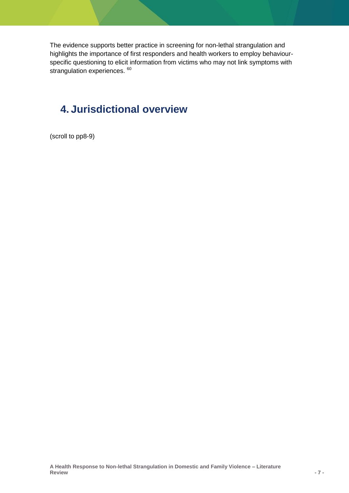The evidence supports better practice in screening for non-lethal strangulation and highlights the importance of first responders and health workers to employ behaviourspecific questioning to elicit information from victims who may not link symptoms with strangulation experiences. 60

### **4. Jurisdictional overview**

(scroll to pp8-9)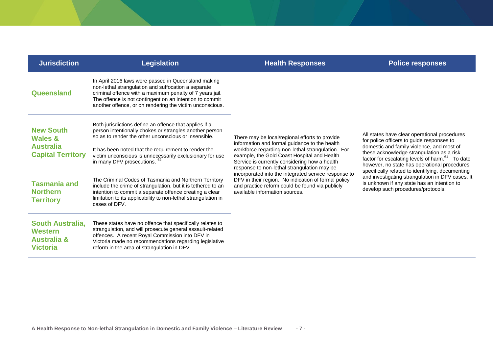| <b>Jurisdiction</b>                                                             | <b>Legislation</b>                                                                                                                                                                                                                                                                            | <b>Health Responses</b>                                                                                                                                                                                                                                                                             | <b>Police responses</b>                                                                                                                                                                               |
|---------------------------------------------------------------------------------|-----------------------------------------------------------------------------------------------------------------------------------------------------------------------------------------------------------------------------------------------------------------------------------------------|-----------------------------------------------------------------------------------------------------------------------------------------------------------------------------------------------------------------------------------------------------------------------------------------------------|-------------------------------------------------------------------------------------------------------------------------------------------------------------------------------------------------------|
| Queensland                                                                      | In April 2016 laws were passed in Queensland making<br>non-lethal strangulation and suffocation a separate<br>criminal offence with a maximum penalty of 7 years jail.<br>The offence is not contingent on an intention to commit<br>another offence, or on rendering the victim unconscious. | There may be local/regional efforts to provide<br>information and formal guidance to the health<br>workforce regarding non-lethal strangulation. For<br>example, the Gold Coast Hospital and Health<br>Service is currently considering how a health<br>response to non-lethal strangulation may be |                                                                                                                                                                                                       |
| <b>New South</b><br><b>Wales &amp;</b>                                          | Both jurisdictions define an offence that applies if a<br>person intentionally chokes or strangles another person<br>so as to render the other unconscious or insensible.                                                                                                                     |                                                                                                                                                                                                                                                                                                     | All states have clear operational procedures<br>for police officers to quide responses to                                                                                                             |
| <b>Australia</b><br><b>Capital Territory</b>                                    | It has been noted that the requirement to render the<br>victim unconscious is unnecessarily exclusionary for use<br>in many DFV prosecutions. 62                                                                                                                                              |                                                                                                                                                                                                                                                                                                     | domestic and family violence, and most of<br>these acknowledge strangulation as a risk<br>factor for escalating levels of harm. <sup>61</sup> To date<br>however, no state has operational procedures |
| <b>Tasmania and</b><br><b>Northern</b><br><b>Territory</b>                      | The Criminal Codes of Tasmania and Northern Territory<br>include the crime of strangulation, but it is tethered to an<br>intention to commit a separate offence creating a clear<br>limitation to its applicability to non-lethal strangulation in<br>cases of DFV.                           | incorporated into the integrated service response to<br>DFV in their region. No indication of formal policy<br>and practice reform could be found via publicly<br>available information sources.                                                                                                    | specifically related to identifying, documenting<br>and investigating strangulation in DFV cases. It<br>is unknown if any state has an intention to<br>develop such procedures/protocols.             |
| <b>South Australia,</b><br>Western<br><b>Australia &amp;</b><br><b>Victoria</b> | These states have no offence that specifically relates to<br>strangulation, and will prosecute general assault-related<br>offences. A recent Royal Commission into DFV in<br>Victoria made no recommendations regarding legislative<br>reform in the area of strangulation in DFV.            |                                                                                                                                                                                                                                                                                                     |                                                                                                                                                                                                       |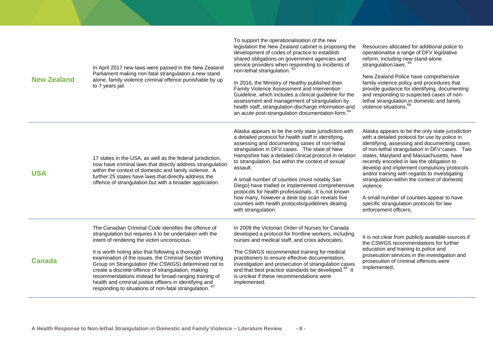| <b>New Zealand</b> | In April 2017 new laws were passed in the New Zealand<br>Parliament making non-fatal strangulation a new stand<br>alone, family violence criminal offence punishable by up<br>to 7 years jail.                                                                                                                                                                                                                                                                                                                                                                              | To support the operationalisation of the new<br>legislation the New Zealand cabinet is proposing the<br>development of codes of practice to establish<br>shared obligations on government agencies and<br>service providers when responding to incidents of<br>non-lethal strangulation. <sup>6</sup><br>In 2016, the Ministry of Healthy published their<br>Family Violence Assessment and Intervention<br>Guideline, which includes a clinical guideline for the<br>assessment and management of strangulation by<br>health staff, strangulation discharge information and<br>an acute post-strangulation documentation form. <sup>64</sup> | Resources allocated for additional police to<br>operationalise a range of DFV legislative<br>reform, including new stand-alone<br>strangulation laws.<br>New Zealand Police have comprehensive<br>family violence policy and procedures that<br>provide guidance for identifying, documenting<br>and responding to suspected cases of non-<br>lethal strangulation in domestic and family<br>violence situations. <sup>66</sup>                                                                                                                                           |
|--------------------|-----------------------------------------------------------------------------------------------------------------------------------------------------------------------------------------------------------------------------------------------------------------------------------------------------------------------------------------------------------------------------------------------------------------------------------------------------------------------------------------------------------------------------------------------------------------------------|-----------------------------------------------------------------------------------------------------------------------------------------------------------------------------------------------------------------------------------------------------------------------------------------------------------------------------------------------------------------------------------------------------------------------------------------------------------------------------------------------------------------------------------------------------------------------------------------------------------------------------------------------|---------------------------------------------------------------------------------------------------------------------------------------------------------------------------------------------------------------------------------------------------------------------------------------------------------------------------------------------------------------------------------------------------------------------------------------------------------------------------------------------------------------------------------------------------------------------------|
| <b>USA</b>         | 17 states in the USA, as well as the federal jurisdiction,<br>now have criminal laws that directly address strangulation<br>within the context of domestic and family violence. A<br>further 25 states have laws that directly address the<br>offence of strangulation but with a broader application.                                                                                                                                                                                                                                                                      | Alaska appears to be the only state jurisdiction with<br>a detailed protocol for health staff in identifying,<br>assessing and documenting cases of non-lethal<br>strangulation in DFV cases. The state of New<br>Hampshire has a detailed clinical protocol in relation<br>to strangulation, but within the context of sexual<br>assault.<br>A small number of counties (most notably San<br>Diego) have trialled or implemented comprehensive<br>protocols for health professionals. It is not known<br>how many, however a desk top scan reveals five<br>counties with health protocols/guidelines dealing<br>with strangulation.          | Alaska appears to be the only state jurisdiction<br>with a detailed protocol for use by police in<br>identifying, assessing and documenting cases<br>of non-lethal strangulation in DFV cases. Two<br>states, Maryland and Massachusetts, have<br>recently encoded in law the obligation to<br>develop and implement compulsory protocols<br>and/or training with regards to investigating<br>strangulation within the context of domestic<br>violence.<br>A small number of counties appear to have<br>specific strangulation protocols for law<br>enforcement officers. |
| <b>Canada</b>      | The Canadian Criminal Code identifies the offence of<br>strangulation but requires it to be undertaken with the<br>intent of rendering the victim unconscious.<br>It is worth noting also that following a thorough<br>examination of the issues, the Criminal Section Working<br>Group on Strangulation (the CSWGS) determined not to<br>create a discrete offence of strangulation, making<br>recommendations instead for broad-ranging training of<br>health and criminal justice officers in identifying and<br>responding to situations of non-fatal strangulation. 67 | In 2009 the Victorian Order of Nurses for Canada<br>developed a protocol for frontline workers, including<br>nurses and medical staff, and crisis advocates.<br>The CSWGS recommended training for medical<br>practitioners to ensure effective documentation,<br>investigation and prosecution of strangulation cases<br>and that best practice standards be developed. <sup>68</sup> It<br>is unclear if these recommendations were<br>implemented.                                                                                                                                                                                         | It is not clear from publicly available sources if<br>the CSWGS recommendations for further<br>education and training to police and<br>prosecution services in the investigation and<br>prosecution of criminal offences were<br>implemented.                                                                                                                                                                                                                                                                                                                             |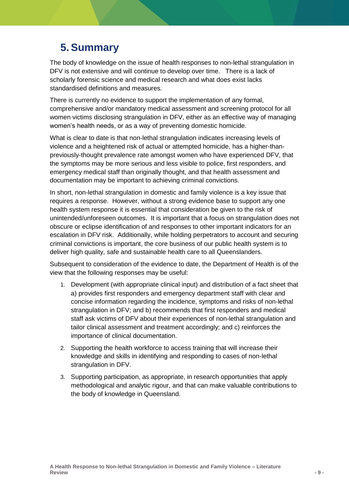## **5. Summary**

The body of knowledge on the issue of health responses to non-lethal strangulation in DFV is not extensive and will continue to develop over time. There is a lack of scholarly forensic science and medical research and what does exist lacks standardised definitions and measures.

There is currently no evidence to support the implementation of any formal, comprehensive and/or mandatory medical assessment and screening protocol for all women victims disclosing strangulation in DFV, either as an effective way of managing women's health needs, or as a way of preventing domestic homicide.

What is clear to date is that non-lethal strangulation indicates increasing levels of violence and a heightened risk of actual or attempted homicide, has a higher-thanpreviously-thought prevalence rate amongst women who have experienced DFV, that the symptoms may be more serious and less visible to police, first responders, and emergency medical staff than originally thought, and that health assessment and documentation may be important to achieving criminal convictions.

In short, non-lethal strangulation in domestic and family violence is a key issue that requires a response. However, without a strong evidence base to support any one health system response it is essential that consideration be given to the risk of unintended/unforeseen outcomes. It is important that a focus on strangulation does not obscure or eclipse identification of and responses to other important indicators for an escalation in DFV risk. Additionally, while holding perpetrators to account and securing criminal convictions is important, the core business of our public health system is to deliver high quality, safe and sustainable health care to all Queenslanders.

Subsequent to consideration of the evidence to date, the Department of Health is of the view that the following responses may be useful:

- 1. Development (with appropriate clinical input) and distribution of a fact sheet that a) provides first responders and emergency department staff with clear and concise information regarding the incidence, symptoms and risks of non-lethal strangulation in DFV; and b) recommends that first responders and medical staff ask victims of DFV about their experiences of non-lethal strangulation and tailor clinical assessment and treatment accordingly; and c) reinforces the importance of clinical documentation.
- 2. Supporting the health workforce to access training that will increase their knowledge and skills in identifying and responding to cases of non-lethal strangulation in DFV.
- 3. Supporting participation, as appropriate, in research opportunities that apply methodological and analytic rigour, and that can make valuable contributions to the body of knowledge in Queensland.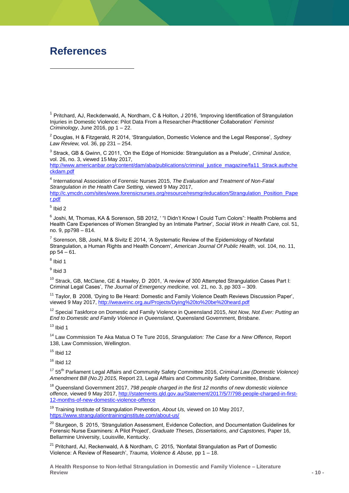### **References**

-

<sup>1</sup> Pritchard, AJ, Reckdenwald, A, Nordham, C & Holton, J 2016, 'Improving Identification of Strangulation Injuries in Domestic Violence: Pilot Data From a Researcher-Practitioner Collaboration' *Feminist Criminology*, June 2016, pp 1 – 22.

<sup>2</sup> Douglas, H & Fitzgerald, R 2014, 'Strangulation, Domestic Violence and the Legal Response', *Sydney Law Review,* vol. 36, pp 231 – 254.

3 Strack, GB & Gwinn, C 2011, 'On the Edge of Homicide: Strangulation as a Prelude', *Criminal Justice,*  vol. 26, no. 3, viewed 15 May 2017,

[http://www.americanbar.org/content/dam/aba/publications/criminal\\_justice\\_magazine/fa11\\_Strack.authche](http://www.americanbar.org/content/dam/aba/publications/criminal_justice_magazine/fa11_Strack.authcheckdam.pdf) [ckdam.pdf](http://www.americanbar.org/content/dam/aba/publications/criminal_justice_magazine/fa11_Strack.authcheckdam.pdf)

4 International Association of Forensic Nurses 2015, *The Evaluation and Treatment of Non-Fatal Strangulation in the Health Care Setting,* viewed 9 May 2017,

[http://c.ymcdn.com/sites/www.forensicnurses.org/resource/resmgr/education/Strangulation\\_Position\\_Pape](http://c.ymcdn.com/sites/www.forensicnurses.org/resource/resmgr/education/Strangulation_Position_Paper.pdf) [r.pdf](http://c.ymcdn.com/sites/www.forensicnurses.org/resource/resmgr/education/Strangulation_Position_Paper.pdf)

 $<sup>5</sup>$  Ibid 2</sup>

<sup>6</sup> Joshi, M, Thomas, KA & Sorenson, SB 2012, ' "I Didn't Know I Could Turn Colors": Health Problems and Health Care Experiences of Women Strangled by an Intimate Partner', *Social Work in Health Care,* col. 51, no. 9, pp798 – 814.

 $^7$  Sorenson, SB, Joshi, M & Sivitz E 2014, 'A Systematic Review of the Epidemiology of Nonfatal Strangulation, a Human Rights and Health Concern', *American Journal Of Public Health,* vol. 104, no. 11, pp 54 – 61.

<sup>8</sup> Ibid 1

<sup>9</sup> Ibid 3

 $10$  Strack, GB, McClane, GE & Hawley, D 2001, 'A review of 300 Attempted Strangulation Cases Part I: Criminal Legal Cases', *The Journal of Emergency medicine,* vol. 21, no. 3, pp 303 – 309.

<sup>11</sup> Tavlor. B 2008, 'Dving to Be Heard: Domestic and Family Violence Death Reviews Discussion Paper', viewed 9 May 2017[, http://weaveinc.org.au/Projects/Dying%20to%20be%20heard.pdf](http://weaveinc.org.au/Projects/Dying%20to%20be%20heard.pdf)

<sup>12</sup> Special Taskforce on Domestic and Family Violence in Queensland 2015, *Not Now, Not Ever: Putting an End to Domestic and Family Violence in Queensland*, Queensland Government, Brisbane.

 $13$  Ibid 1

<sup>14</sup> Law Commission Te Aka Matua O Te Ture 2016, *Strangulation: The Case for a New Offence,* Report 138, Law Commission, Wellington.

 $15$  Ibid 12

 $16$  Ibid 12

<sup>17</sup> 55<sup>th</sup> Parliament Legal Affairs and Community Safety Committee 2016, *Criminal Law (Domestic Violence) Amendment Bill (No.2) 2015,* Report 23, Legal Affairs and Community Safety Committee, Brisbane.

<sup>18</sup> Queensland Government 2017, *798 people charged in the first 12 months of new domestic violence offence,* viewed 9 May 2017, [http://statements.qld.gov.au/Statement/2017/5/7/798-people-charged-in-first-](http://statements.qld.gov.au/Statement/2017/5/7/798-people-charged-in-first-12-months-of-new-domestic-violence-offence)[12-months-of-new-domestic-violence-offence](http://statements.qld.gov.au/Statement/2017/5/7/798-people-charged-in-first-12-months-of-new-domestic-violence-offence)

<sup>19</sup> Training Institute of Strangulation Prevention, *About Us,* viewed on 10 May 2017, <https://www.strangulationtraininginstitute.com/about-us/>

<sup>20</sup> Sturgeon, S 2015, 'Strangulation Assessment, Evidence Collection, and Documentation Guidelines for Forensic Nurse Examiners: A Pilot Project', *Graduate Theses, Dissertations, and Capstones,* Paper 16, Bellarmine University, Louisville, Kentucky.

 $21$  Pritchard, AJ, Reckenwald, A & Nordham, C 2015, 'Nonfatal Strangulation as Part of Domestic Violence: A Review of Research', *Trauma, Violence & Abuse,* pp 1 – 18.

**A Health Response to Non-lethal Strangulation in Domestic and Family Violence – Literature Review - 10 -**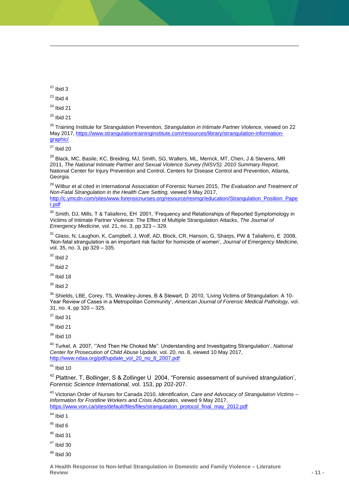$22$  Ibid 3

1

 $23$  Ibid 4

 $24$  Ibid 21

 $25$  Ibid 21

<sup>26</sup> Training Institute for Strangulation Prevention, *Strangulation in Intimate Partner Violence,* viewed on 22 May 2017[, https://www.strangulationtraininginstitute.com/resources/library/strangulation-information](https://www.strangulationtraininginstitute.com/resources/library/strangulation-information-graphic/)[graphic/](https://www.strangulationtraininginstitute.com/resources/library/strangulation-information-graphic/)

 $27$  Ibid 20

<sup>28</sup> Black, MC, Basile, KC, Breiding, MJ, Smith, SG, Walters, ML, Merrick, MT, Chen, J & Stevens, MR 2011, *The National Intimate Partner and Sexual Violence Survey (NISVS): 2010 Summary Report,*  National Center for Injury Prevention and Control, Centers for Disease Control and Prevention, Atlanta, Georgia*.*

<sup>29</sup> Wilbur et al cited in International Association of Forensic Nurses 2015, *The Evaluation and Treatment of Non-Fatal Strangulation in the Health Care Setting,* viewed 9 May 2017, [http://c.ymcdn.com/sites/www.forensicnurses.org/resource/resmgr/education/Strangulation\\_Position\\_Pape](http://c.ymcdn.com/sites/www.forensicnurses.org/resource/resmgr/education/Strangulation_Position_Paper.pdf) [r.pdf](http://c.ymcdn.com/sites/www.forensicnurses.org/resource/resmgr/education/Strangulation_Position_Paper.pdf)

<sup>30</sup> Smith, DJ, Mills, T & Taliaferro, EH 2001, 'Frequency and Relationships of Reported Symptomology in Victims of Intimate Partner Violence: The Effect of Multiple Strangulation Attacks, *The Journal of Emergency Medicine,* vol. 21, no. 3, pp 323 – 329.

 $31$  Glass, N, Laughon, K, Campbell, J, Wolf, AD, Block, CR, Hanson, G, Sharps, PW & Taliaferro, E 2008, 'Non-fatal strangulation is an important risk factor for homicide of women', *Journal of Emergency Medicine,*  vol. 35, no. 3, pp 329 – 335.

 $32$  Ibid 2

 $33$  Ibid 2

 $34$  Ibid 18

 $35$  Ibid 2

<sup>36</sup> Shields, LBE, Corey, TS, Weakley-Jones, B & Stewart, D 2010, 'Living Victims of Strangulation: A 10-Year Review of Cases in a Metropolitan Community', *American Journal of Forensic Medical Pathology,* vol. 31, no. 4, pp 320 – 325.

 $37$  Ibid 31

<sup>38</sup> Ibid 21

 $39$  Ibid 10

<sup>40</sup> Turkel, A 2007, '"And Then He Choked Me": Understanding and Investigating Strangulation', *National Center for Prosecution of Child Abuse Update,* vol. 20, no. 8, viewed 10 May 2017, [http://www.ndaa.org/pdf/update\\_vol\\_20\\_no\\_8\\_2007.pdf](http://www.ndaa.org/pdf/update_vol_20_no_8_2007.pdf)

 $41$  Ibid 10

<sup>42</sup> Plattner, T, Bollinger, S & Zollinger U 2004, "Forensic assessment of survived strangulation', *Forensic Science International,* vol. 153, pp 202-207.

<sup>43</sup> Victorian Order of Nurses for Canada 2010, *Identification, Care and Advocacy of Strangulation Victims – Information for Frontline Workers and Crisis Advocates*, viewed 9 May 2017, [https://www.von.ca/sites/default/files/files/strangulation\\_protocol\\_final\\_may\\_2012.pdf](https://www.von.ca/sites/default/files/files/strangulation_protocol_final_may_2012.pdf)

 $44$  Ibid 1

 $45$  Ibid 6

 $46$  Ibid 31

<sup>47</sup> Ibid 30

 $48$  Ibid 30

**A Health Response to Non-lethal Strangulation in Domestic and Family Violence – Literature Review - 11 -**